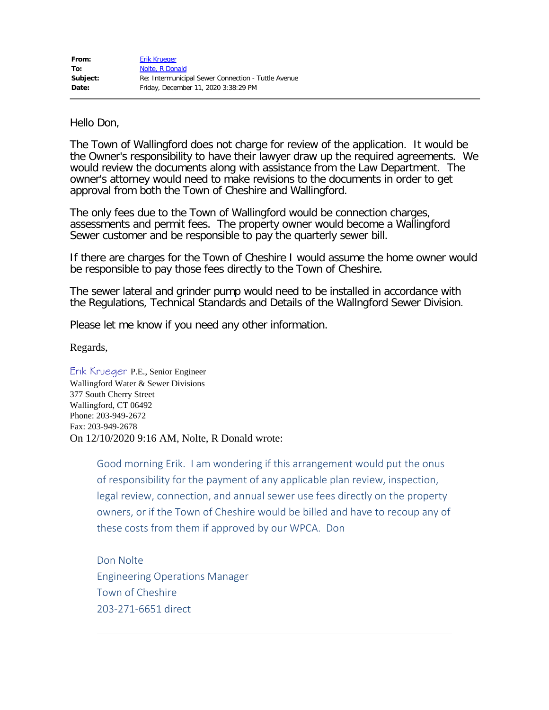Hello Don,

The Town of Wallingford does not charge for review of the application. It would be the Owner's responsibility to have their lawyer draw up the required agreements. We would review the documents along with assistance from the Law Department. The owner's attorney would need to make revisions to the documents in order to get approval from both the Town of Cheshire and Wallingford.

The only fees due to the Town of Wallingford would be connection charges, assessments and permit fees. The property owner would become a Wallingford Sewer customer and be responsible to pay the quarterly sewer bill.

If there are charges for the Town of Cheshire I would assume the home owner would be responsible to pay those fees directly to the Town of Cheshire.

The sewer lateral and grinder pump would need to be installed in accordance with the Regulations, Technical Standards and Details of the Wallngford Sewer Division.

Please let me know if you need any other information.

Regards,

Erik Krueger P.E., Senior Engineer Wallingford Water & Sewer Divisions 377 South Cherry Street Wallingford, CT 06492 Phone: 203-949-2672 Fax: 203-949-2678 On 12/10/2020 9:16 AM, Nolte, R Donald wrote:

> Good morning Erik. I am wondering if this arrangement would put the onus of responsibility for the payment of any applicable plan review, inspection, legal review, connection, and annual sewer use fees directly on the property owners, or if the Town of Cheshire would be billed and have to recoup any of these costs from them if approved by our WPCA. Don

Don Nolte Engineering Operations Manager Town of Cheshire 203-271-6651 direct